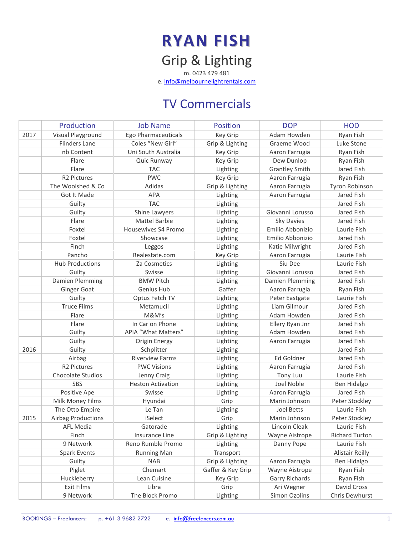# RYAN FISH Grip & Lighting

m. 0423 479 481 e. info@melbournelightrentals.com

### TV Commercials

|      | Production                | <b>Job Name</b>          | <b>Position</b>   | <b>DOP</b>            | <b>HOD</b>             |
|------|---------------------------|--------------------------|-------------------|-----------------------|------------------------|
| 2017 | Visual Playground         | Ego Pharmaceuticals      | Key Grip          | Adam Howden           | Ryan Fish              |
|      | <b>Flinders Lane</b>      | Coles "New Girl"         | Grip & Lighting   | Graeme Wood           | Luke Stone             |
|      | nb Content                | Uni South Australia      | Key Grip          | Aaron Farrugia        | Ryan Fish              |
|      | Flare                     | Quic Runway              | Key Grip          | Dew Dunlop            | Ryan Fish              |
|      | Flare                     | <b>TAC</b>               | Lighting          | <b>Grantley Smith</b> | Jared Fish             |
|      | R2 Pictures               | <b>PWC</b>               | Key Grip          | Aaron Farrugia        | Ryan Fish              |
|      | The Woolshed & Co         | Adidas                   | Grip & Lighting   | Aaron Farrugia        | Tyron Robinson         |
|      | Got It Made               | <b>APA</b>               | Lighting          | Aaron Farrugia        | Jared Fish             |
|      | Guilty                    | <b>TAC</b>               | Lighting          |                       | Jared Fish             |
|      | Guilty                    | Shine Lawyers            | Lighting          | Giovanni Lorusso      | Jared Fish             |
|      | Flare                     | Mattel Barbie            | Lighting          | <b>Sky Davies</b>     | Jared Fish             |
|      | Foxtel                    | Housewives S4 Promo      | Lighting          | Emilio Abbonizio      | Laurie Fish            |
|      | Foxtel                    | Showcase                 | Lighting          | Emilio Abbonizio      | Jared Fish             |
|      | Finch                     | Leggos                   | Lighting          | Katie Milwright       | Jared Fish             |
|      | Pancho                    | Realestate.com           | Key Grip          | Aaron Farrugia        | Laurie Fish            |
|      | <b>Hub Productions</b>    | Za Cosmetics             | Lighting          | Siu Dee               | Laurie Fish            |
|      | Guilty                    | Swisse                   | Lighting          | Giovanni Lorusso      | Jared Fish             |
|      | Damien Plemming           | <b>BMW Pitch</b>         | Lighting          | Damien Plemming       | Jared Fish             |
|      | <b>Ginger Goat</b>        | Genius Hub               | Gaffer            | Aaron Farrugia        | Ryan Fish              |
|      | Guilty                    | Optus Fetch TV           | Lighting          | Peter Eastgate        | Laurie Fish            |
|      | <b>Truce Films</b>        | Metamucil                | Lighting          | Liam Gilmour          | Jared Fish             |
|      | Flare                     | M&M's                    | Lighting          | Adam Howden           | Jared Fish             |
|      | Flare                     | In Car on Phone          | Lighting          | Ellery Ryan Jnr       | Jared Fish             |
|      | Guilty                    | APIA "What Matters"      | Lighting          | Adam Howden           | Jared Fish             |
|      | Guilty                    | Origin Energy            | Lighting          | Aaron Farrugia        | Jared Fish             |
| 2016 | Guilty                    | Schplitter               | Lighting          |                       | Jared Fish             |
|      | Airbag                    | <b>Riverview Farms</b>   | Lighting          | Ed Goldner            | Jared Fish             |
|      | R2 Pictures               | <b>PWC Visions</b>       | Lighting          | Aaron Farrugia        | Jared Fish             |
|      | Chocolate Studios         | Jenny Craig              | Lighting          | Tony Luu              | Laurie Fish            |
|      | <b>SBS</b>                | <b>Heston Activation</b> | Lighting          | Joel Noble            | Ben Hidalgo            |
|      | Positive Ape              | Swisse                   | Lighting          | Aaron Farrugia        | Jared Fish             |
|      | Milk Money Films          | Hyundai                  | Grip              | Marin Johnson         | Peter Stockley         |
|      | The Otto Empire           | Le Tan                   | Lighting          | <b>Joel Betts</b>     | Laurie Fish            |
| 2015 | <b>Airbag Productions</b> | iSelect                  | Grip              | Marin Johnson         | Peter Stockley         |
|      | <b>AFL Media</b>          | Gatorade                 | Lighting          | Lincoln Cleak         | Laurie Fish            |
|      | Finch                     | Insurance Line           | Grip & Lighting   | Wayne Aistrope        | Richard Turton         |
|      | 9 Network                 | Reno Rumble Promo        | Lighting          | Danny Pope            | Laurie Fish            |
|      | Spark Events              | <b>Running Man</b>       | Transport         |                       | <b>Alistair Reilly</b> |
|      | Guilty                    | <b>NAB</b>               | Grip & Lighting   | Aaron Farrugia        | Ben Hidalgo            |
|      | Piglet                    | Chemart                  | Gaffer & Key Grip | Wayne Aistrope        | Ryan Fish              |
|      | Huckleberry               | Lean Cuisine             | Key Grip          | Garry Richards        | Ryan Fish              |
|      | Exit Films                | Libra                    | Grip              | Ari Wegner            | David Cross            |
|      | 9 Network                 | The Block Promo          | Lighting          | Simon Ozolins         | Chris Dewhurst         |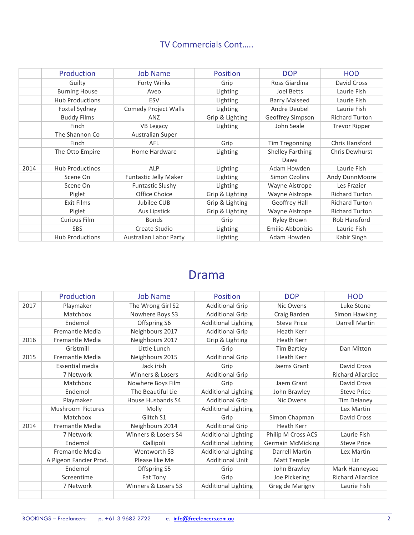#### TV Commercials Cont…..

|      | Production             | <b>Job Name</b>              | <b>Position</b> | <b>DOP</b>              | <b>HOD</b>            |
|------|------------------------|------------------------------|-----------------|-------------------------|-----------------------|
|      | Guilty                 | Forty Winks                  | Grip            | Ross Giardina           | David Cross           |
|      | <b>Burning House</b>   | Aveo                         | Lighting        | Joel Betts              | Laurie Fish           |
|      | <b>Hub Productions</b> | ESV                          | Lighting        | <b>Barry Malseed</b>    | Laurie Fish           |
|      | Foxtel Sydney          | <b>Comedy Project Walls</b>  | Lighting        | Andre Deubel            | Laurie Fish           |
|      | <b>Buddy Films</b>     | ANZ                          | Grip & Lighting | Geoffrey Simpson        | <b>Richard Turton</b> |
|      | Finch                  | <b>VB Legacy</b>             | Lighting        | John Seale              | <b>Trevor Ripper</b>  |
|      | The Shannon Co         | Australian Super             |                 |                         |                       |
|      | Finch                  | AFL                          | Grip            | Tim Tregonning          | Chris Hansford        |
|      | The Otto Empire        | Home Hardware                | Lighting        | <b>Shelley Farthing</b> | Chris Dewhurst        |
|      |                        |                              |                 | Dawe                    |                       |
| 2014 | <b>Hub Productinos</b> | <b>ALP</b>                   | Lighting        | Adam Howden             | Laurie Fish           |
|      | Scene On               | <b>Funtastic Jelly Maker</b> | Lighting        | Simon Ozolins           | Andy DunnMoore        |
|      | Scene On               | <b>Funtastic Slushy</b>      | Lighting        | Wayne Aistrope          | Les Frazier           |
|      | Piglet                 | Office Choice                | Grip & Lighting | Wayne Aistrope          | <b>Richard Turton</b> |
|      | Exit Films             | Jubilee CUB                  | Grip & Lighting | Geoffrey Hall           | <b>Richard Turton</b> |
|      | Piglet                 | Aus Lipstick                 | Grip & Lighting | Wayne Aistrope          | <b>Richard Turton</b> |
|      | <b>Curious Film</b>    | <b>Bonds</b>                 | Grip            | <b>Ryley Brown</b>      | Rob Hansford          |
|      | <b>SBS</b>             | Create Studio                | Lighting        | Emilio Abbonizio        | Laurie Fish           |
|      | <b>Hub Productions</b> | Australian Labor Party       | Lighting        | Adam Howden             | Kabir Singh           |

### Drama

|      | Production               | <b>Job Name</b>     | Position                   | <b>DOP</b>               | <b>HOD</b>               |
|------|--------------------------|---------------------|----------------------------|--------------------------|--------------------------|
| 2017 | Playmaker                | The Wrong Girl S2   | <b>Additional Grip</b>     | Nic Owens                | Luke Stone               |
|      | Matchbox                 | Nowhere Boys S3     | <b>Additional Grip</b>     | Craig Barden             | Simon Hawking            |
|      | Endemol                  | Offspring S6        | <b>Additional Lighting</b> | <b>Steve Price</b>       | Darrell Martin           |
|      | <b>Fremantle Media</b>   | Neighbours 2017     | <b>Additional Grip</b>     | Heath Kerr               |                          |
| 2016 | Fremantle Media          | Neighbours 2017     | Grip & Lighting            | Heath Kerr               |                          |
|      | Gristmill                | Little Lunch        | Grip                       | Tim Bartley              | Dan Mitton               |
| 2015 | <b>Fremantle Media</b>   | Neighbours 2015     | <b>Additional Grip</b>     | <b>Heath Kerr</b>        |                          |
|      | Essential media          | Jack irish          | Grip                       | Jaems Grant              | David Cross              |
|      | 7 Network                | Winners & Losers    | <b>Additional Grip</b>     |                          | <b>Richard Allardice</b> |
|      | Matchbox                 | Nowhere Boys Film   | Grip                       | Jaem Grant               | David Cross              |
|      | Endemol                  | The Beautiful Lie   | <b>Additional Lighting</b> | John Brawley             | <b>Steve Price</b>       |
|      | Playmaker                | House Husbands S4   | <b>Additional Grip</b>     | Nic Owens                | <b>Tim Delaney</b>       |
|      | <b>Mushroom Pictures</b> | Molly               | <b>Additional Lighting</b> |                          | Lex Martin               |
|      | Matchbox                 | Glitch S1           | Grip                       | Simon Chapman            | David Cross              |
| 2014 | Fremantle Media          | Neighbours 2014     | <b>Additional Grip</b>     | Heath Kerr               |                          |
|      | 7 Network                | Winners & Losers S4 | <b>Additional Lighting</b> | Philip M Cross ACS       | Laurie Fish              |
|      | Endemol                  | Gallipoli           | <b>Additional Lighting</b> | <b>Germain McMicking</b> | <b>Steve Price</b>       |
|      | <b>Fremantle Media</b>   | Wentworth S3        | <b>Additional Lighting</b> | <b>Darrell Martin</b>    | Lex Martin               |
|      | A Pigeon Fancier Prod.   | Please like Me      | <b>Additional Unit</b>     | Matt Temple              | Liz                      |
|      | Endemol                  | Offspring S5        | Grip                       | John Brawley             | Mark Hanneysee           |
|      | Screentime               | Fat Tony            | Grip                       | Joe Pickering            | <b>Richard Allardice</b> |
|      | 7 Network                | Winners & Losers S3 | <b>Additional Lighting</b> | Greg de Marigny          | Laurie Fish              |
|      |                          |                     |                            |                          |                          |